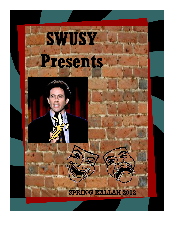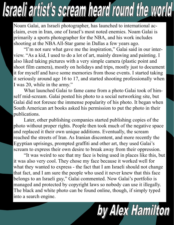## L

Noam Galai, an Israeli photographer, has launched to international acclaim, even in Iran, one of Israel's most noted enemies. Noam Galai is primarily a sports photographer for the NBA, and his work includes shooting at the NBA All-Star game in Dallas a few years ago.

 "I'm not sure what gave me the inspiration," Galai said in our interview. "As a kid, I used to do a lot of art, mainly drawing and painting. I also liked taking pictures with a very simple camera (plastic point and shoot film camera), mostly on holidays and trips, mostly just to document it for myself and have some memories from those events. I started taking it seriously around age 16 to 17, and started shooting professionally when I was 20, while in the army."

 What launched Galai to fame came from a photo Galai took of himself mid-scream. Galai posted his photo to a social networking site, but Galai did not foresee the immense popularity of his photo. It began when South American art books asked his permission to put the photo in their publications.

 Later, other publishing companies started publishing copies of the photo without proper rights. People then took much of the negative space and replaced it their own unique additions. Eventually, the scream reached the streets of Iran. As Iranian discontent, and more recently the Egyptian uprisings, prompted graffiti and other art, they used Galai's scream to express their own desire to break away from their oppression.

 "It was weird to see that my face is being used in places like this, but it was also very cool. They chose my face because it worked well for what they wanted to express - the fact that I am Israeli should not change that fact, and I am sure the people who used it never knew that this face belongs to an Israeli guy," Galai commented. Now Galai's portfolio is managed and protected by copyright laws so nobody can use it illegally. The black and white photo can be found online, though, if simply typed into a search engine.

by Allex Hamilton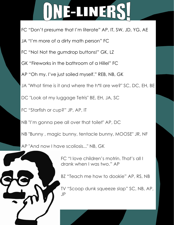## I) VEELINERS

- FC "Don't presume that I'm literate" AP, IT, SW, JD, YG, AE
- JA "I'm more of a dirty math person" FC
- FC "No! Not the gumdrop buttons!" GK, LZ
- GK "Fireworks in the bathroom of a Hillel" FC
- AP "Oh my. I've just soiled myself." REB, NB, GK
- JA "What time is it and where the h\*ll are we?" SC, DC, EH, BE
- DC "Look at my luggage Tetris" BE, EH, JA, SC
- FC "Starfish or cup?" JP, AP, IT
- NB "I'm gonna pee all over that toilet" AP, DC
- NB "Bunny , magic bunny, tentacle bunny, MOOSE" JR, NF
- AP "And now I have scoliosis..." NB, GK



FC "I love children's motrin. That's all I drank when I was two." AP

BZ "Teach me how to dookie" AP, RS, NB

TV "Scoop dunk squeeze slap" SC, NB, AP, JP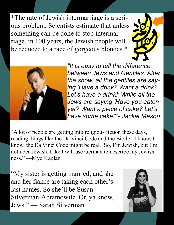\*The rate of Jewish intermarriage is a serious problem. Scientists estimate that unless something can be done to stop intermarriage, in 100 years, the Jewish people will be reduced to a race of gorgeous blondes.\*





"It is easy to tell the difference between Jews and Gentiles. After the show, all the gentiles are saying 'Have a drink? Want a drink? Let's have a drink!' While all the Jews are saying 'Have you eaten yet? Want a piece of cake? Let's have some cake!'"- Jackie Mason

"A lot of people are getting into religious fiction these days, reading things like the Da Vinci Code and the Bibile.. I know, I know, the Da Vinci Code might be real. So, I'm Jewish, but I'm not uber-Jewish. Like I will use German to describe my Jewishness." —Myq Kaplan

"My sister is getting married, and she and her fiancé are taking each other's last names. So she'll be Susan Silverman-Abramowitz. Or, ya know, Jews." — Sarah Silverman

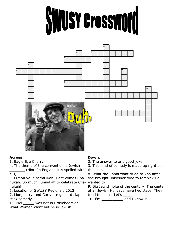



## Across:

1. Eagle Eye Cherry

4. The theme of the convention is Jewish

\_\_\_\_\_\_\_ (Hint: In England it is spelled with a u)

5. Put on your Yarmulkah, Here comes Chanukah. So much Funnakah to celebrate Cha-wanted to \_\_\_\_\_\_\_\_\_\_ nukah!

6. Location of SWUSY Regionals 2012.

7. Moe, Larry, and Curly are good at slapstick comedy.

11. Mel was not in Braveheart or What Women Want but he is Jewish

## Down:

2. The answer to any good joke.

3. This kind of comedy is made up right on the spot.

8. What the Rabbi want to do to Ana after she brought unkosher food to temple? He

9. Big Jewish joke of the century. The center of all Jewish Holidays have two steps. They tried to kill us. Let's \_\_\_\_

10. I'm \_\_\_\_\_\_\_\_\_\_ and I know it